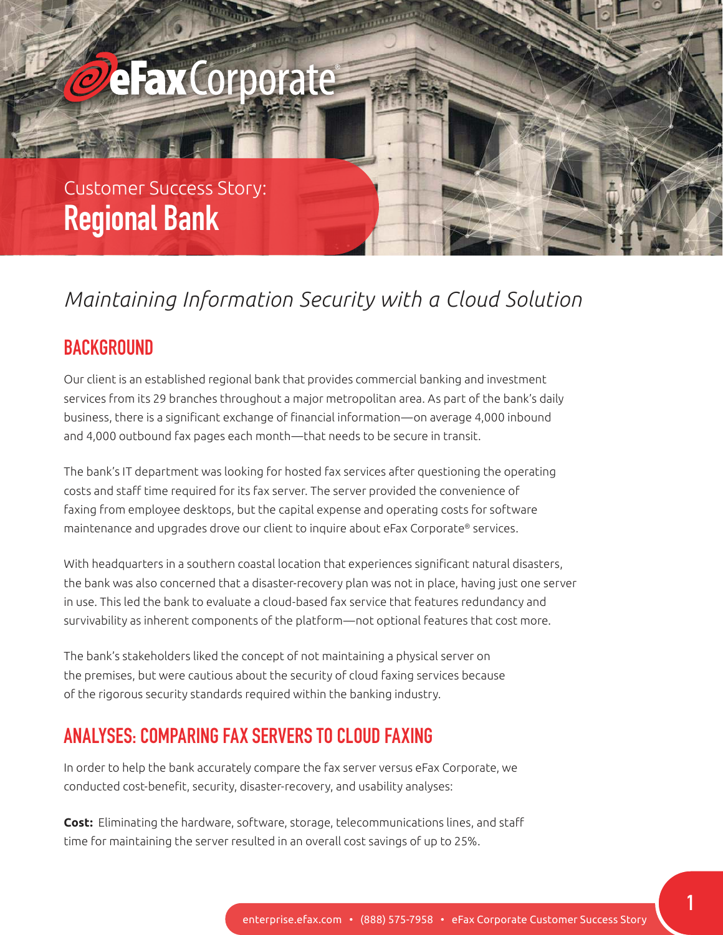# **eFax**Corporate

## Customer Success Story: **Regional Bank**

## *Maintaining Information Security with a Cloud Solution*

#### **BACKGROUND**

Our client is an established regional bank that provides commercial banking and investment services from its 29 branches throughout a major metropolitan area. As part of the bank's daily business, there is a significant exchange of financial information—on average 4,000 inbound and 4,000 outbound fax pages each month—that needs to be secure in transit.

The bank's IT department was looking for hosted fax services after questioning the operating costs and staff time required for its fax server. The server provided the convenience of faxing from employee desktops, but the capital expense and operating costs for software maintenance and upgrades drove our client to inquire about eFax Corporate® services.

With headquarters in a southern coastal location that experiences significant natural disasters, the bank was also concerned that a disaster-recovery plan was not in place, having just one server in use. This led the bank to evaluate a cloud-based fax service that features redundancy and survivability as inherent components of the platform—not optional features that cost more.

The bank's stakeholders liked the concept of not maintaining a physical server on the premises, but were cautious about the security of cloud faxing services because of the rigorous security standards required within the banking industry.

#### **ANALYSES: COMPARING FAX SERVERS TO CLOUD FAXING**

In order to help the bank accurately compare the fax server versus eFax Corporate, we conducted cost-benefit, security, disaster-recovery, and usability analyses:

**Cost:** Eliminating the hardware, software, storage, telecommunications lines, and staff time for maintaining the server resulted in an overall cost savings of up to 25%.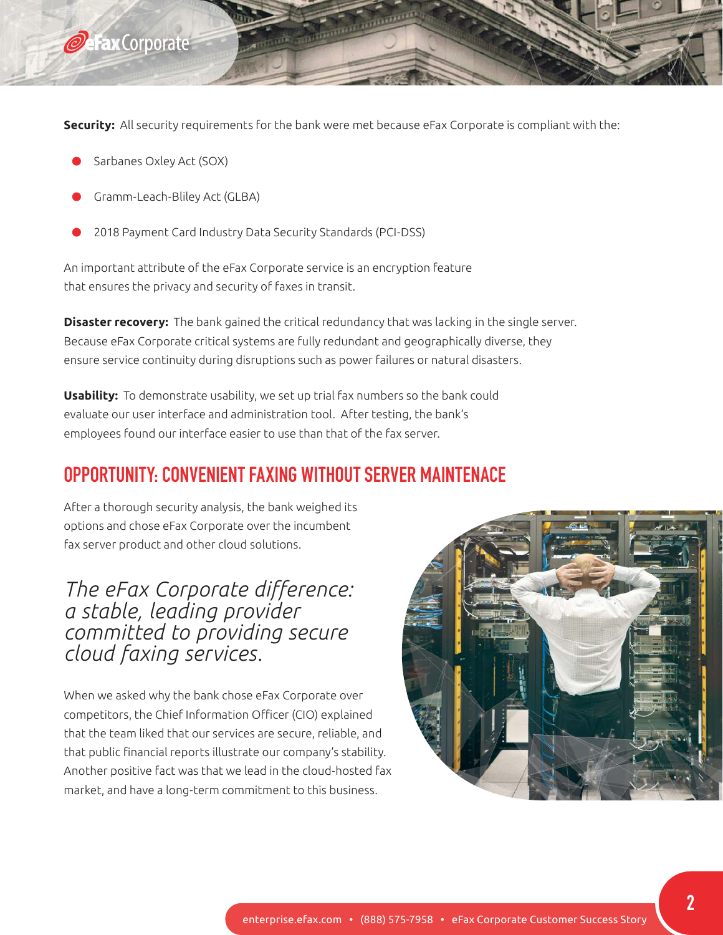

**Security:** All security requirements for the bank were met because eFax Corporate is compliant with the:

**Communication** 

- Sarbanes Oxley Act (SOX)
- Gramm-Leach-Bliley Act (GLBA)
- 2018 Payment Card Industry Data Security Standards (PCI-DSS)

An important attribute of the eFax Corporate service is an encryption feature that ensures the privacy and security of faxes in transit.

**Disaster recovery:** The bank gained the critical redundancy that was lacking in the single server. Because eFax Corporate critical systems are fully redundant and geographically diverse, they ensure service continuity during disruptions such as power failures or natural disasters.

**Usability:** To demonstrate usability, we set up trial fax numbers so the bank could evaluate our user interface and administration tool. After testing, the bank's employees found our interface easier to use than that of the fax server.

#### **OPPORTUNITY: CONVENIENT FAXING WITHOUT SERVER MAINTENACE**

After a thorough security analysis, the bank weighed its options and chose eFax Corporate over the incumbent fax server product and other cloud solutions.

*The eFax Corporate difference: a stable, leading provider committed to providing secure cloud faxing services.*

When we asked why the bank chose eFax Corporate over competitors, the Chief Information Officer (CIO) explained that the team liked that our services are secure, reliable, and that public financial reports illustrate our company's stability. Another positive fact was that we lead in the cloud-hosted fax market, and have a long-term commitment to this business.

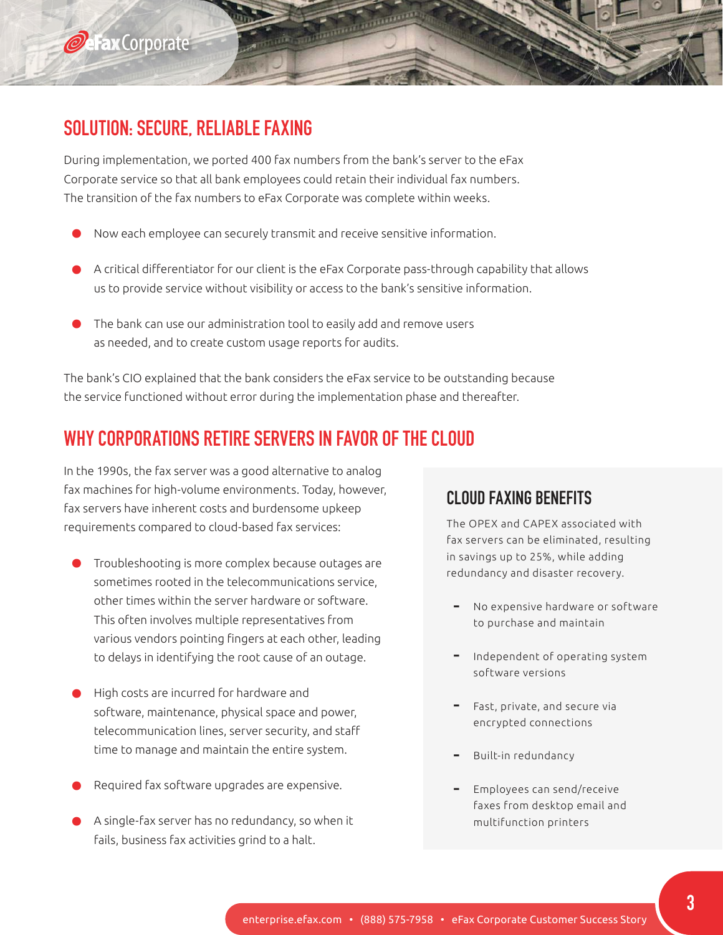

**O**cFaxCorporate

During implementation, we ported 400 fax numbers from the bank's server to the eFax Corporate service so that all bank employees could retain their individual fax numbers. The transition of the fax numbers to eFax Corporate was complete within weeks.

- Now each employee can securely transmit and receive sensitive information.
- A critical differentiator for our client is the eFax Corporate pass-through capability that allows us to provide service without visibility or access to the bank's sensitive information.

**CONTRACTOR** 

• The bank can use our administration tool to easily add and remove users as needed, and to create custom usage reports for audits.

The bank's CIO explained that the bank considers the eFax service to be outstanding because the service functioned without error during the implementation phase and thereafter.

#### **WHY CORPORATIONS RETIRE SERVERS IN FAVOR OF THE CLOUD**

In the 1990s, the fax server was a good alternative to analog fax machines for high-volume environments. Today, however, fax servers have inherent costs and burdensome upkeep requirements compared to cloud-based fax services:

- Troubleshooting is more complex because outages are sometimes rooted in the telecommunications service, other times within the server hardware or software. This often involves multiple representatives from various vendors pointing fingers at each other, leading to delays in identifying the root cause of an outage.
- High costs are incurred for hardware and software, maintenance, physical space and power, telecommunication lines, server security, and staff time to manage and maintain the entire system.
- Required fax software upgrades are expensive.
- A single-fax server has no redundancy, so when it fails, business fax activities grind to a halt.

#### **CLOUD FAXING BENEFITS**

The OPEX and CAPEX associated with fax servers can be eliminated, resulting in savings up to 25%, while adding redundancy and disaster recovery.

- No expensive hardware or software to purchase and maintain
- Independent of operating system software versions
- Fast, private, and secure via encrypted connections
- Built-in redundancy
- Employees can send/receive faxes from desktop email and multifunction printers